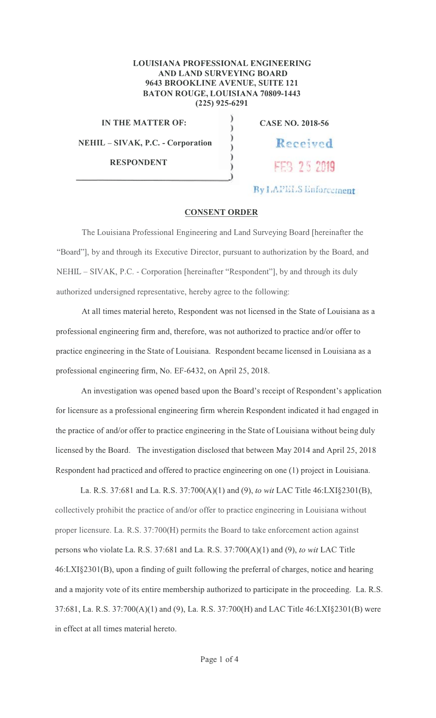## LOUISIANA PROFESSIONAL ENGINEERING AND LAND SURVEYING BOARD 9643 BROOKLINE AVENUE, SUITE 121 **BATON ROUGE, LOUISIANA 70809-1443**  $(225)$  925-6291

 $\lambda$ 

**IN THE MATTER OF:** 

**NEHIL-SIVAK, P.C. - Corporation** 

**RESPONDENT** 

**CASE NO. 2018-56** 

Received

FEB 25 2019

**By LAPELS Enforcement** 

## **CONSENT ORDER**

The Louisiana Professional Engineering and Land Surveying Board [hereinafter the "Board"], by and through its Executive Director, pursuant to authorization by the Board, and NEHIL – SIVAK, P.C. - Corporation [hereinafter "Respondent"], by and through its duly authorized undersigned representative, hereby agree to the following:

At all times material hereto, Respondent was not licensed in the State of Louisiana as a professional engineering firm and, therefore, was not authorized to practice and/or offer to practice engineering in the State of Louisiana. Respondent became licensed in Louisiana as a professional engineering firm, No. EF-6432, on April 25, 2018.

An investigation was opened based upon the Board's receipt of Respondent's application for licensure as a professional engineering firm wherein Respondent indicated it had engaged in the practice of and/or offer to practice engineering in the State of Louisiana without being duly licensed by the Board. The investigation disclosed that between May 2014 and April 25, 2018 Respondent had practiced and offered to practice engineering on one (1) project in Louisiana.

La. R.S. 37:681 and La. R.S. 37:700(A)(1) and (9), to wit LAC Title 46:LXI§2301(B), collectively prohibit the practice of and/or offer to practice engineering in Louisiana without proper licensure. La. R.S. 37:700(H) permits the Board to take enforcement action against persons who violate La. R.S. 37:681 and La. R.S. 37:700(A)(1) and (9), to wit LAC Title 46:LXI§2301(B), upon a finding of guilt following the preferral of charges, notice and hearing and a majority vote of its entire membership authorized to participate in the proceeding. La. R.S. 37:681, La. R.S. 37:700(A)(1) and (9), La. R.S. 37:700(H) and LAC Title 46:LXI§2301(B) were in effect at all times material hereto.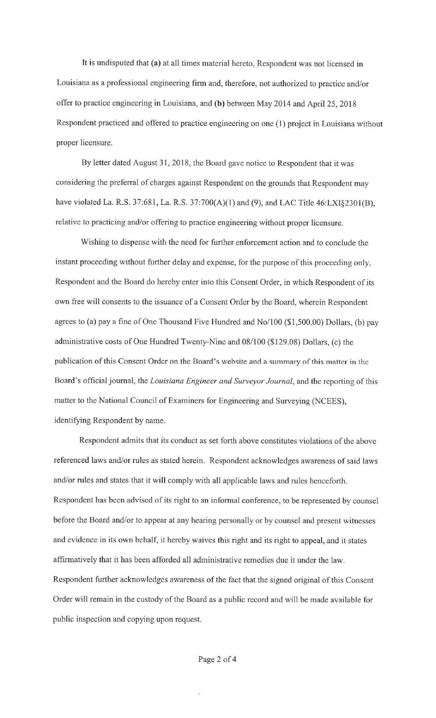It is undisputed that (a) at all times material hereto, Respondent was not licensed in Louisiana as a professional engineering firm and, therefore, not authorized to practice and/or offer to practice engineering in Louisiana, and (b) between May 2014 and April 25, 2018 Respondent practiced and offered to practice engineering on one (1) project in Louisiana without proper licensure.

By letter dated August 31, 2018, the Board gave notice to Respondent that it was considering the preferral of charges against Respondent on the grounds that Respondent may have violated La. R.S. 37:681, La. R.S. 37:700(A)(1) and (9), and LAC Title 46:LXI§2301(B), relative to practicing and/or offering to practice engineering without proper licensure.

Wishing to dispense with the need for further enforcement action and to conclude the instant proceeding without further delay and expense, for the purpose of this proceeding only, Respondent and the Board do hereby enter into this Consent Order, in which Respondent of its own free will consents to the issuance of a Consent Order by the Board, wherein Respondent agrees to (a) pay a fine of One Thousand Five Hundred and No/ 100 (\$1,500.00) Dollars, (b) pay administrative costs of One Hundred Twenty-Nine and 08/100 (\$129.08) Dollars, (c) the publication of this Consent Order on the Board's website and a summary of this matter in the Board's official journal, the *Louisiana Engineer and Surveyor Journal,* and the reporting of this matter to the National Council of Examiners for Engineering and Surveying (NCEES), identifying Respondent by name.

Respondent admits that its conduct as set forth above constitutes violations of the above referenced laws and/or rules as stated herein. Respondent acknowledges awareness of said laws and/or rules and states that it will comply with all applicable laws and rules henceforth. Respondent has been advised of its right to an informal conference, to be represented by counsel before the Board and/or to appear at any hearing personally or by counsel and present witnesses and evidence in its own behalf, it hereby waives this right and its right to appeal, and it states affirmatively that it has been afforded all administrative remedies due it under the law. Respondent further acknowledges awareness of the fact that the signed original of this Consent Order will remain in the custody of the Board as a public record and will be made available for public inspection and copying upon request.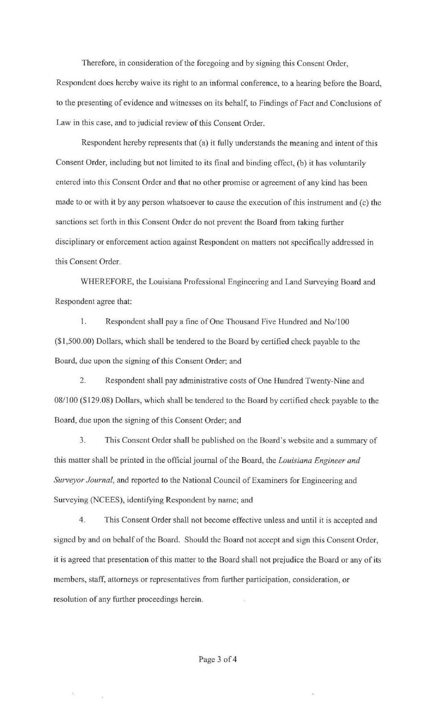Therefore, in consideration of the foregoing and by signing this Consent Order, Respondent does hereby waive its right to an informal conference, to a hearing before the Board, to the presenting of evidence and witnesses on its behalf, to Findings of Fact and Conclusions of Law in this case, and to judicial review of this Consent Order.

Respondent hereby represents that (a) it fully understands the meaning and intent of this Consent Order, including but not limited to its final and binding effect, (b) it has voluntarily entered into this Consent Order and that no other promise or agreement of any kind has been made to or with it by any person whatsoever to cause the execution of this instrument and (c) the sanctions set forth in this Consent Order do not prevent the Board from taking further disciplinary or enforcement action against Respondent on matters not specifically addressed in this Consent Order.

WHEREFORE, the Louisiana Professional Engineering and Land Surveying Board and Respondent agree that:

l. Respondent shall pay a fine of One Thousand Five Hundred and No/ 100 (\$1,500.00) Dollars, which shall be tendered to the Board by certified check payable to the Board, due upon the signing of this Consent Order; and

2. Respondent shall pay administrative costs of One Hundred Twenty-Nine and 08/100 (\$129.08) Dollars, which shall be tendered to the Board by certified check payable to the Board, due upon the signing of this Consent Order; and

3. This Consent Order shall be published on the Board's website and a summary of this matter shall be printed in the official journal of the Board, the *Louisiana Engineer and Surveyor Journal,* and reported to the National Council of Examiners for Engineering and Surveying (NCEES), identifying Respondent by name; and

4. This Consent Order shall not become effective unless and until it is accepted and signed by and on behalf of the Board. Should the Board not accept and sign this Consent Order, it is agreed that presentation of this matter to the Board shall not prejudice the Board or any of its members, staff, attorneys or representatives from further participation, consideration, or resolution of any further proceedings herein.